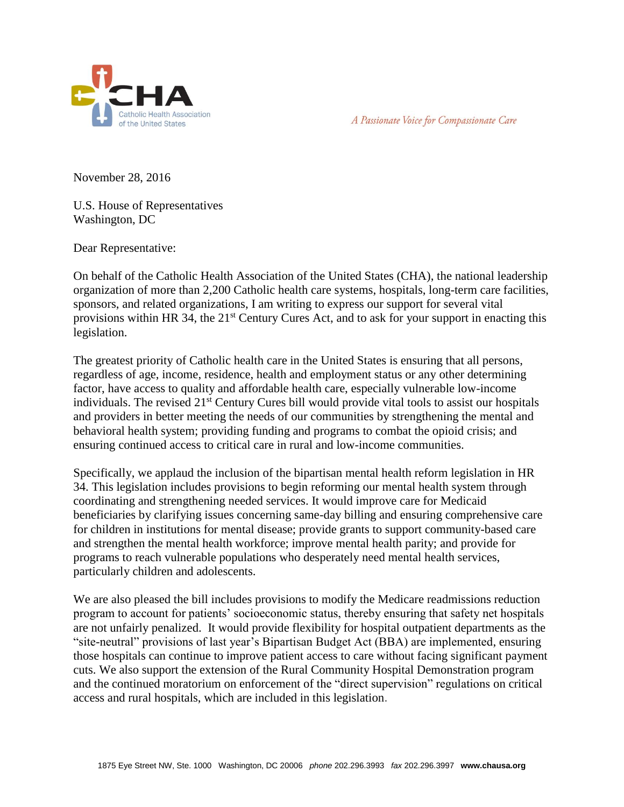



November 28, 2016

U.S. House of Representatives Washington, DC

Dear Representative:

On behalf of the Catholic Health Association of the United States (CHA), the national leadership organization of more than 2,200 Catholic health care systems, hospitals, long-term care facilities, sponsors, and related organizations, I am writing to express our support for several vital provisions within HR 34, the 21<sup>st</sup> Century Cures Act, and to ask for your support in enacting this legislation.

The greatest priority of Catholic health care in the United States is ensuring that all persons, regardless of age, income, residence, health and employment status or any other determining factor, have access to quality and affordable health care, especially vulnerable low-income individuals. The revised 21st Century Cures bill would provide vital tools to assist our hospitals and providers in better meeting the needs of our communities by strengthening the mental and behavioral health system; providing funding and programs to combat the opioid crisis; and ensuring continued access to critical care in rural and low-income communities.

Specifically, we applaud the inclusion of the bipartisan mental health reform legislation in HR 34. This legislation includes provisions to begin reforming our mental health system through coordinating and strengthening needed services. It would improve care for Medicaid beneficiaries by clarifying issues concerning same-day billing and ensuring comprehensive care for children in institutions for mental disease; provide grants to support community-based care and strengthen the mental health workforce; improve mental health parity; and provide for programs to reach vulnerable populations who desperately need mental health services, particularly children and adolescents.

We are also pleased the bill includes provisions to modify the Medicare readmissions reduction program to account for patients' socioeconomic status, thereby ensuring that safety net hospitals are not unfairly penalized. It would provide flexibility for hospital outpatient departments as the "site-neutral" provisions of last year's Bipartisan Budget Act (BBA) are implemented, ensuring those hospitals can continue to improve patient access to care without facing significant payment cuts. We also support the extension of the Rural Community Hospital Demonstration program and the continued moratorium on enforcement of the "direct supervision" regulations on critical access and rural hospitals, which are included in this legislation.